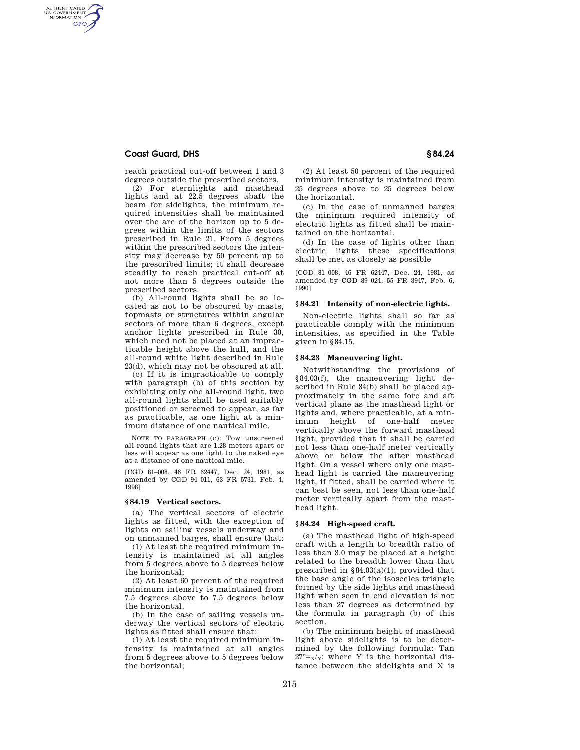# **Coast Guard, DHS § 84.24**

AUTHENTICATED<br>U.S. GOVERNMENT<br>INFORMATION **GPO** 

> reach practical cut-off between 1 and 3 degrees outside the prescribed sectors.

> (2) For sternlights and masthead lights and at 22.5 degrees abaft the beam for sidelights, the minimum required intensities shall be maintained over the arc of the horizon up to 5 degrees within the limits of the sectors prescribed in Rule 21. From 5 degrees within the prescribed sectors the intensity may decrease by 50 percent up to the prescribed limits; it shall decrease steadily to reach practical cut-off at not more than 5 degrees outside the prescribed sectors.

> (b) All-round lights shall be so located as not to be obscured by masts, topmasts or structures within angular sectors of more than 6 degrees, except anchor lights prescribed in Rule 30, which need not be placed at an impracticable height above the hull, and the all-round white light described in Rule 23(d), which may not be obscured at all.

> (c) If it is impracticable to comply with paragraph (b) of this section by exhibiting only one all-round light, two all-round lights shall be used suitably positioned or screened to appear, as far as practicable, as one light at a minimum distance of one nautical mile.

> NOTE TO PARAGRAPH (c): Tow unscreened all-round lights that are 1.28 meters apart or less will appear as one light to the naked eye at a distance of one nautical mile.

> [CGD 81–008, 46 FR 62447, Dec. 24, 1981, as amended by CGD 94–011, 63 FR 5731, Feb. 4, 1998]

#### **§ 84.19 Vertical sectors.**

(a) The vertical sectors of electric lights as fitted, with the exception of lights on sailing vessels underway and on unmanned barges, shall ensure that:

(1) At least the required minimum intensity is maintained at all angles from 5 degrees above to 5 degrees below the horizontal;

(2) At least 60 percent of the required minimum intensity is maintained from 7.5 degrees above to 7.5 degrees below the horizontal.

(b) In the case of sailing vessels underway the vertical sectors of electric lights as fitted shall ensure that:

(1) At least the required minimum intensity is maintained at all angles from 5 degrees above to 5 degrees below the horizontal;

(2) At least 50 percent of the required minimum intensity is maintained from 25 degrees above to 25 degrees below the horizontal.

(c) In the case of unmanned barges the minimum required intensity of electric lights as fitted shall be maintained on the horizontal.

(d) In the case of lights other than electric lights these specifications shall be met as closely as possible

[CGD 81–008, 46 FR 62447, Dec. 24, 1981, as amended by CGD 89–024, 55 FR 3947, Feb. 6, 1990]

### **§ 84.21 Intensity of non-electric lights.**

Non-electric lights shall so far as practicable comply with the minimum intensities, as specified in the Table given in §84.15.

# **§ 84.23 Maneuvering light.**

Notwithstanding the provisions of §84.03(f), the maneuvering light described in Rule 34(b) shall be placed approximately in the same fore and aft vertical plane as the masthead light or lights and, where practicable, at a minimum height of one-half meter vertically above the forward masthead light, provided that it shall be carried not less than one-half meter vertically above or below the after masthead light. On a vessel where only one masthead light is carried the maneuvering light, if fitted, shall be carried where it can best be seen, not less than one-half meter vertically apart from the masthead light.

#### **§ 84.24 High-speed craft.**

(a) The masthead light of high-speed craft with a length to breadth ratio of less than 3.0 may be placed at a height related to the breadth lower than that prescribed in §84.03(a)(1), provided that the base angle of the isosceles triangle formed by the side lights and masthead light when seen in end elevation is not less than 27 degrees as determined by the formula in paragraph (b) of this section.

(b) The minimum height of masthead light above sidelights is to be determined by the following formula: Tan  $27^\circ = x/x$ ; where Y is the horizontal distance between the sidelights and X is